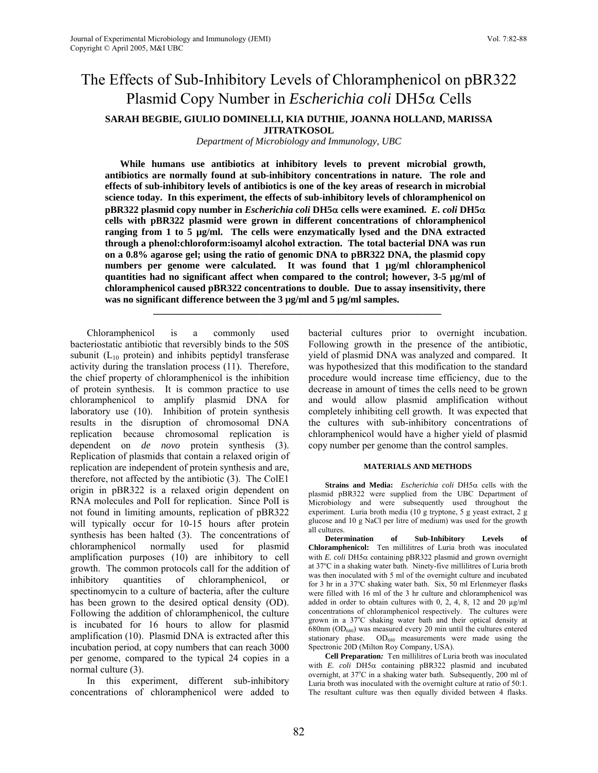# The Effects of Sub-Inhibitory Levels of Chloramphenicol on pBR322 Plasmid Copy Number in *Escherichia coli* DH5α Cells

**SARAH BEGBIE, GIULIO DOMINELLI, KIA DUTHIE, JOANNA HOLLAND, MARISSA JITRATKOSOL** 

*Department of Microbiology and Immunology, UBC*

**While humans use antibiotics at inhibitory levels to prevent microbial growth, antibiotics are normally found at sub-inhibitory concentrations in nature. The role and effects of sub-inhibitory levels of antibiotics is one of the key areas of research in microbial science today. In this experiment, the effects of sub-inhibitory levels of chloramphenicol on pBR322 plasmid copy number in** *Escherichia coli* **DH5**α **cells were examined.** *E. coli* **DH5**α **cells with pBR322 plasmid were grown in different concentrations of chloramphenicol ranging from 1 to 5 µg/ml. The cells were enzymatically lysed and the DNA extracted through a phenol:chloroform:isoamyl alcohol extraction. The total bacterial DNA was run on a 0.8% agarose gel; using the ratio of genomic DNA to pBR322 DNA, the plasmid copy numbers per genome were calculated. It was found that 1 µg/ml chloramphenicol quantities had no significant affect when compared to the control; however, 3-5 µg/ml of chloramphenicol caused pBR322 concentrations to double. Due to assay insensitivity, there was no significant difference between the 3 µg/ml and 5 µg/ml samples.**

 **\_\_\_\_\_\_\_\_\_\_\_\_\_\_\_\_\_\_\_\_\_\_\_\_\_\_\_\_\_\_\_\_\_\_\_\_\_\_\_\_\_\_\_\_\_\_\_\_\_\_\_\_\_\_\_\_\_\_\_**

Chloramphenicol is a commonly used bacteriostatic antibiotic that reversibly binds to the 50S subunit  $(L_{10}$  protein) and inhibits peptidyl transferase activity during the translation process (11). Therefore, the chief property of chloramphenicol is the inhibition of protein synthesis. It is common practice to use chloramphenicol to amplify plasmid DNA for laboratory use (10). Inhibition of protein synthesis results in the disruption of chromosomal DNA replication because chromosomal replication is dependent on *de novo* protein synthesis (3). Replication of plasmids that contain a relaxed origin of replication are independent of protein synthesis and are, therefore, not affected by the antibiotic (3). The ColE1 origin in pBR322 is a relaxed origin dependent on RNA molecules and PolI for replication. Since PolI is not found in limiting amounts, replication of pBR322 will typically occur for 10-15 hours after protein synthesis has been halted (3). The concentrations of chloramphenicol normally used for plasmid amplification purposes (10) are inhibitory to cell growth. The common protocols call for the addition of inhibitory quantities of chloramphenicol, or spectinomycin to a culture of bacteria, after the culture has been grown to the desired optical density (OD). Following the addition of chloramphenicol, the culture is incubated for 16 hours to allow for plasmid amplification (10). Plasmid DNA is extracted after this incubation period, at copy numbers that can reach 3000 per genome, compared to the typical 24 copies in a normal culture (3).

In this experiment, different sub-inhibitory concentrations of chloramphenicol were added to bacterial cultures prior to overnight incubation. Following growth in the presence of the antibiotic, yield of plasmid DNA was analyzed and compared. It was hypothesized that this modification to the standard procedure would increase time efficiency, due to the decrease in amount of times the cells need to be grown and would allow plasmid amplification without completely inhibiting cell growth. It was expected that the cultures with sub-inhibitory concentrations of chloramphenicol would have a higher yield of plasmid copy number per genome than the control samples.

### **MATERIALS AND METHODS**

**Strains and Media:** *Escherichia coli* DH5α cells with the plasmid pBR322 were supplied from the UBC Department of Microbiology and were subsequently used throughout the experiment. Luria broth media (10 g tryptone, 5 g yeast extract, 2 g glucose and 10 g NaCl per litre of medium) was used for the growth all cultures.

**Determination of Sub-Inhibitory Levels of Chloramphenicol:** Ten millilitres of Luria broth was inoculated with *E. coli* DH5α containing pBR322 plasmid and grown overnight at 37°C in a shaking water bath. Ninety-five millilitres of Luria broth was then inoculated with 5 ml of the overnight culture and incubated for 3 hr in a 37°C shaking water bath. Six, 50 ml Erlenmeyer flasks were filled with 16 ml of the 3 hr culture and chloramphenicol was added in order to obtain cultures with  $0, 2, 4, 8, 12$  and  $20 \mu g/ml$ concentrations of chloramphenicol respectively. The cultures were grown in a 37°C shaking water bath and their optical density at  $680$ nm ( $OD<sub>680</sub>$ ) was measured every 20 min until the cultures entered stationary phase. OD<sub>680</sub> measurements were made using the Spectronic 20D (Milton Roy Company, USA).

**Cell Preparation***:*Ten millilitres of Luria broth was inoculated with *E. coli* DH5α containing pBR322 plasmid and incubated overnight, at 37°C in a shaking water bath. Subsequently, 200 ml of Luria broth was inoculated with the overnight culture at ratio of 50:1. The resultant culture was then equally divided between 4 flasks.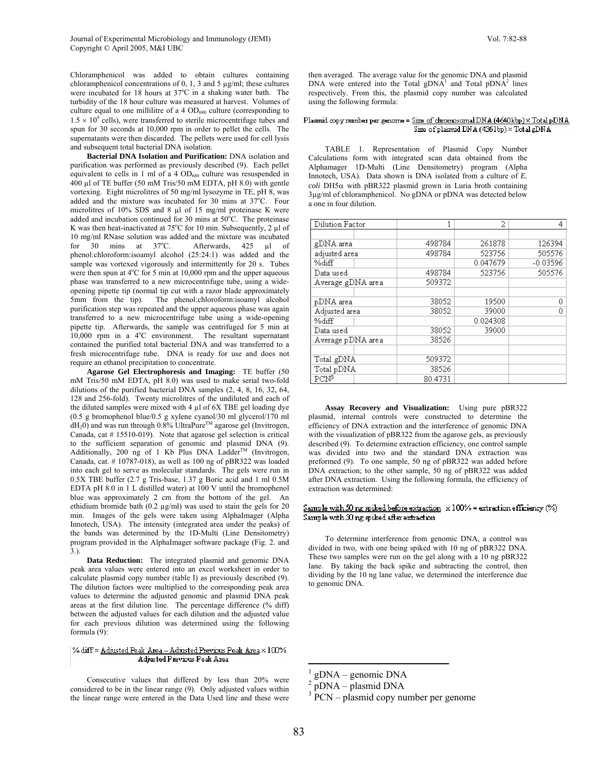Chloramphenicol was added to obtain cultures containing chloramphenicol concentrations of 0, 1, 3 and 5 µg/ml; these cultures were incubated for 18 hours at 37°C in a shaking water bath. The turbidity of the 18 hour culture was measured at harvest. Volumes of culture equal to one millilitre of a 4  $OD<sub>680</sub>$  culture (corresponding to  $1.5 \times 10^{9}$  cells), were transferred to sterile microcentrifuge tubes and spun for 30 seconds at 10,000 rpm in order to pellet the cells. The supernatants were then discarded. The pellets were used for cell lysis and subsequent total bacterial DNA isolation.

**Bacterial DNA Isolation and Purification:** DNA isolation and purification was performed as previously described (9). Each pellet equivalent to cells in 1 ml of a 4  $OD<sub>680</sub>$  culture was resuspended in 400 µl of TE buffer (50 mM Tris/50 mM EDTA, pH 8.0) with gentle vortexing. Eight microlitres of 50 mg/ml lysozyme in TE, pH 8, was added and the mixture was incubated for  $30$  mins at  $37^{\circ}$ C. Four microlitres of 10% SDS and 8 µl of 15 mg/ml proteinase K were added and incubation continued for 30 mins at  $50^{\circ}$ C. The proteinase K was then heat-inactivated at  $75^{\circ}$ C for 10 min. Subsequently, 2  $\mu$ l of 10 mg/ml RNase solution was added and the mixture was incubated for  $30$  mins at  $37^{\circ}$ C. Afterwards, 425 µl of phenol:chloroform:isoamyl alcohol (25:24:1) was added and the sample was vortexed vigorously and intermittently for 20 s. Tubes were then spun at  $4^{\circ}$ C for 5 min at 10,000 rpm and the upper aqueous phase was transferred to a new microcentrifuge tube, using a wideopening pipette tip (normal tip cut with a razor blade approximately 5mm from the tip). The phenol:chloroform:isoamyl alcohol purification step was repeated and the upper aqueous phase was again transferred to a new microcentrifuge tube using a wide-opening pipette tip. Afterwards, the sample was centrifuged for 5 min at 10,000 rpm in a 4°C environment. The resultant supernatant contained the purified total bacterial DNA and was transferred to a fresh microcentrifuge tube. DNA is ready for use and does not require an ethanol precipitation to concentrate.

**Agarose Gel Electrophoresis and Imaging:** TE buffer (50 mM Tris/50 mM EDTA, pH 8.0) was used to make serial two-fold dilutions of the purified bacterial DNA samples (2, 4, 8, 16, 32, 64, 128 and 256-fold). Twenty microlitres of the undiluted and each of the diluted samples were mixed with 4 µl of 6X TBE gel loading dye (0.5 g bromophenol blue/0.5 g xylene cyanol/30 ml glycerol/170 ml  $dH_2$ 0) and was run through 0.8% UltraPure<sup>™</sup> agarose gel (Invitrogen, Canada, cat # 15510-019). Note that agarose gel selection is critical to the sufficient separation of genomic and plasmid DNA (9). Additionally, 200 ng of 1 Kb Plus DNA Ladder<sup>TM</sup> (Invitrogen, Canada, cat. # 10787-018), as well as 100 ng of pBR322 was loaded into each gel to serve as molecular standards. The gels were run in 0.5X TBE buffer (2.7 g Tris-base, 1.37 g Boric acid and 1 ml 0.5M EDTA pH 8.0 in 1 L distilled water) at 100 V until the bromophenol blue was approximately 2 cm from the bottom of the gel. An ethidium bromide bath (0.2 µg/ml) was used to stain the gels for 20 min. Images of the gels were taken using AlphaImager (Alpha Innotech, USA). The intensity (integrated area under the peaks) of the bands was determined by the 1D-Multi (Line Densitometry) program provided in the AlphaImager software package (Fig. 2. and 3.).

**Data Reduction:**The integrated plasmid and genomic DNA peak area values were entered into an excel worksheet in order to calculate plasmid copy number (table I) as previously described (9). The dilution factors were multiplied to the corresponding peak area values to determine the adjusted genomic and plasmid DNA peak areas at the first dilution line. The percentage difference (% diff) between the adjusted values for each dilution and the adjusted value for each previous dilution was determined using the following formula (9):

#### % diff = Adjusted Peak Area - Adjusted Previous Peak Area × 100% Adjusted Previous Peak Area

Consecutive values that differed by less than 20% were considered to be in the linear range (9). Only adjusted values within the linear range were entered in the Data Used line and these were then averaged. The average value for the genomic DNA and plasmid DNA were entered into the Total  $gDNA<sup>1</sup>$  and Total  $pDNA<sup>2</sup>$  lines respectively. From this, the plasmid cop[y](#page-1-0) number was cal[cu](#page-1-1)lated using the following formula:

#### Plasmid copy number per genome = Size of chromosomal DNA (4640kbp) × Total pDNA Size of plasmid DNA (4361bp) × Total gDNA

TABLE 1. Representation of Plasmid Copy Number Calculations form with integrated scan data obtained from the Alphamager 1D-Multi (Line Densitometry) program (Alpha Innotech, USA). Data shown is DNA isolated from a culture of *E.*  $\chi$ *coli* DH5 $\alpha$  with pBR322 plasmid grown in Luria broth containing 3µg/ml of chloramphenicol. No gDNA or pDNA was detected below a one in four dilution.

| Dilution Factor   | 1       | 2        | $\mathbf{A}$ |
|-------------------|---------|----------|--------------|
|                   |         |          |              |
| gDNA area         | 498784  | 261878   | 126394       |
| adjusted area     | 498784  | 523756   | 505576       |
| %diff             |         | 0.047679 | $-0.03596$   |
| Data used         | 498784  | 523756   | 505576       |
| Average gDNA area | 509372  |          |              |
|                   |         |          |              |
| pDNA area         | 38052   | 19500    | 0            |
| Adjusted area     | 38052   | 39000    | 0            |
| %diff             |         | 0.024308 |              |
| Data used         | 38052   | 39000    |              |
| Average pDNA area | 38526   |          |              |
|                   |         |          |              |
| Total gDNA        | 509372  |          |              |
| Total pDNA        | 38526   |          |              |
| $PCN^3$           | 80.4731 |          |              |

**Assay Recovery and Visualization:** Using pure pBR322 plasmid, internal controls were constructed to determine the efficiency of DNA extraction and the interference of genomic DNA with the visualization of pBR322 from the agarose gels, as previously described (9). To determine extraction efficiency, one control sample was divided into two and the standard DNA extraction was preformed (9). To one sample, 50 ng of pBR322 was added before DNA extraction; to the other sample, 50 ng of pBR322 was added after DNA extraction. Using the following formula, the efficiency of extraction was determined:

#### Sample with 50 ng spiked before extraction  $x$  100% = extraction efficiency (%) Sample with 50 ng spiked after extraction

To determine interference from genomic DNA, a control was divided in two, with one being spiked with 10 ng of pBR322 DNA. These two samples were run on the gel along with a 10 ng pBR322 lane. By taking the back spike and subtracting the control, then dividing by the 10 ng lane value, we determined the interference due to genomic DNA.

<u>.</u>

<span id="page-1-1"></span>

<span id="page-1-0"></span><sup>&</sup>lt;sup>1</sup> gDNA – genomic DNA<br><sup>2</sup> pDNA – plasmid DNA<br><sup>3</sup> PCN – plasmid copy number per genome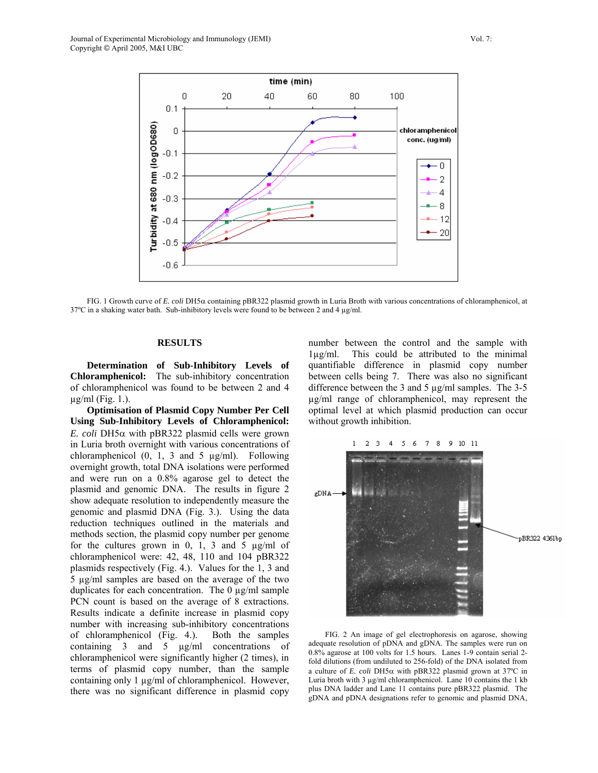

FIG. 1 Growth curve of *E. coli* DH5α containing pBR322 plasmid growth in Luria Broth with various concentrations of chloramphenicol, at 37ºC in a shaking water bath. Sub-inhibitory levels were found to be between 2 and 4 µg/ml.

## **RESULTS**

**Determination of Sub-Inhibitory Levels of Chloramphenicol:** The sub-inhibitory concentration of chloramphenicol was found to be between 2 and 4  $\mu$ g/ml (Fig. 1.).

**Optimisation of Plasmid Copy Number Per Cell Using Sub-Inhibitory Levels of Chloramphenicol:**  *E. coli* DH5α with pBR322 plasmid cells were grown in Luria broth overnight with various concentrations of chloramphenicol  $(0, 1, 3 \text{ and } 5 \text{ µg/ml})$ . Following overnight growth, total DNA isolations were performed and were run on a 0.8% agarose gel to detect the plasmid and genomic DNA. The results in figure 2 show adequate resolution to independently measure the genomic and plasmid DNA (Fig. 3.). Using the data reduction techniques outlined in the materials and methods section, the plasmid copy number per genome for the cultures grown in 0, 1, 3 and 5  $\mu$ g/ml of chloramphenicol were: 42, 48, 110 and 104 pBR322 plasmids respectively (Fig. 4.). Values for the 1, 3 and 5 µg/ml samples are based on the average of the two duplicates for each concentration. The 0 µg/ml sample PCN count is based on the average of 8 extractions. Results indicate a definite increase in plasmid copy number with increasing sub-inhibitory concentrations of chloramphenicol (Fig. 4.). Both the samples containing 3 and 5 µg/ml concentrations of chloramphenicol were significantly higher (2 times), in terms of plasmid copy number, than the sample containing only 1 µg/ml of chloramphenicol. However, there was no significant difference in plasmid copy number between the control and the sample with 1µg/ml. This could be attributed to the minimal quantifiable difference in plasmid copy number between cells being 7. There was also no significant difference between the 3 and 5 µg/ml samples. The 3-5 µg/ml range of chloramphenicol, may represent the optimal level at which plasmid production can occur without growth inhibition.



FIG. 2 An image of gel electrophoresis on agarose, showing adequate resolution of pDNA and gDNA. The samples were run on 0.8% agarose at 100 volts for 1.5 hours. Lanes 1-9 contain serial 2 fold dilutions (from undiluted to 256-fold) of the DNA isolated from a culture of *E. coli* DH5α with pBR322 plasmid grown at 37ºC in Luria broth with 3 µg/ml chloramphenicol. Lane 10 contains the 1 kb plus DNA ladder and Lane 11 contains pure pBR322 plasmid. The gDNA and pDNA designations refer to genomic and plasmid DNA,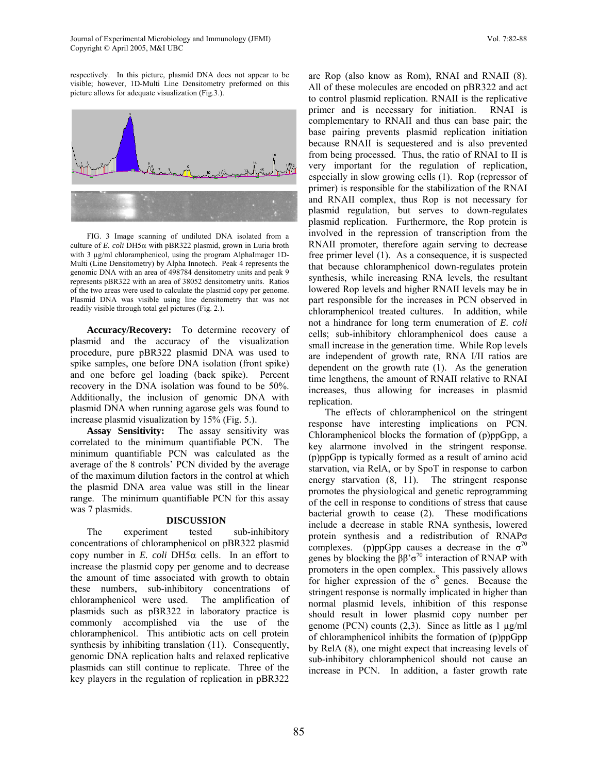Journal of Experimental Microbiology and Immunology (JEMI) Vol. 7:82-88 Copyright © April 2005, M&I UBC

respectively. In this picture, plasmid DNA does not appear to be visible; however, 1D-Multi Line Densitometry preformed on this picture allows for adequate visualization (Fig.3.).



FIG. 3 Image scanning of undiluted DNA isolated from a culture of *E. coli* DH5α with pBR322 plasmid, grown in Luria broth with 3 µg/ml chloramphenicol, using the program AlphaImager 1D-Multi (Line Densitometry) by Alpha Innotech. Peak 4 represents the genomic DNA with an area of 498784 densitometry units and peak 9 represents pBR322 with an area of 38052 densitometry units. Ratios of the two areas were used to calculate the plasmid copy per genome. Plasmid DNA was visible using line densitometry that was not readily visible through total gel pictures (Fig. 2.).

**Accuracy/Recovery:** To determine recovery of plasmid and the accuracy of the visualization procedure, pure pBR322 plasmid DNA was used to spike samples, one before DNA isolation (front spike) and one before gel loading (back spike). Percent recovery in the DNA isolation was found to be 50%. Additionally, the inclusion of genomic DNA with plasmid DNA when running agarose gels was found to increase plasmid visualization by 15% (Fig. 5.).

**Assay Sensitivity:** The assay sensitivity was correlated to the minimum quantifiable PCN. The minimum quantifiable PCN was calculated as the average of the 8 controls' PCN divided by the average of the maximum dilution factors in the control at which the plasmid DNA area value was still in the linear range. The minimum quantifiable PCN for this assay was 7 plasmids.

# **DISCUSSION**

The experiment tested sub-inhibitory concentrations of chloramphenicol on pBR322 plasmid copy number in *E. coli* DH5 $\alpha$  cells. In an effort to increase the plasmid copy per genome and to decrease the amount of time associated with growth to obtain these numbers, sub-inhibitory concentrations of chloramphenicol were used. The amplification of plasmids such as pBR322 in laboratory practice is commonly accomplished via the use of the chloramphenicol. This antibiotic acts on cell protein synthesis by inhibiting translation (11). Consequently, genomic DNA replication halts and relaxed replicative plasmids can still continue to replicate. Three of the key players in the regulation of replication in pBR322 are Rop (also know as Rom), RNAI and RNAII (8). All of these molecules are encoded on pBR322 and act to control plasmid replication. RNAII is the replicative primer and is necessary for initiation. RNAI is complementary to RNAII and thus can base pair; the base pairing prevents plasmid replication initiation because RNAII is sequestered and is also prevented from being processed. Thus, the ratio of RNAI to II is very important for the regulation of replication, especially in slow growing cells (1). Rop (repressor of primer) is responsible for the stabilization of the RNAI and RNAII complex, thus Rop is not necessary for plasmid regulation, but serves to down-regulates plasmid replication. Furthermore, the Rop protein is involved in the repression of transcription from the RNAII promoter, therefore again serving to decrease free primer level (1). As a consequence, it is suspected that because chloramphenicol down-regulates protein synthesis, while increasing RNA levels, the resultant lowered Rop levels and higher RNAII levels may be in part responsible for the increases in PCN observed in chloramphenicol treated cultures. In addition, while not a hindrance for long term enumeration of *E. coli* cells; sub-inhibitory chloramphenicol does cause a small increase in the generation time. While Rop levels are independent of growth rate, RNA I/II ratios are dependent on the growth rate (1). As the generation time lengthens, the amount of RNAII relative to RNAI increases, thus allowing for increases in plasmid replication.

The effects of chloramphenicol on the stringent response have interesting implications on PCN. Chloramphenicol blocks the formation of (p)ppGpp, a key alarmone involved in the stringent response. (p)ppGpp is typically formed as a result of amino acid starvation, via RelA, or by SpoT in response to carbon energy starvation (8, 11). The stringent response promotes the physiological and genetic reprogramming of the cell in response to conditions of stress that cause bacterial growth to cease (2). These modifications include a decrease in stable RNA synthesis, lowered protein synthesis and a redistribution of RNAPσ complexes. (p)ppGpp causes a decrease in the  $\sigma^{70}$ genes by blocking the  $\beta \beta^{\gamma} \sigma^{\gamma_0}$  interaction of RNAP with promoters in the open complex. This passively allows for higher expression of the  $\sigma$ <sup>S</sup> genes. Because the stringent response is normally implicated in higher than normal plasmid levels, inhibition of this response should result in lower plasmid copy number per genome (PCN) counts  $(2,3)$ . Since as little as 1  $\mu$ g/ml of chloramphenicol inhibits the formation of (p)ppGpp by RelA (8), one might expect that increasing levels of sub-inhibitory chloramphenicol should not cause an increase in PCN. In addition, a faster growth rate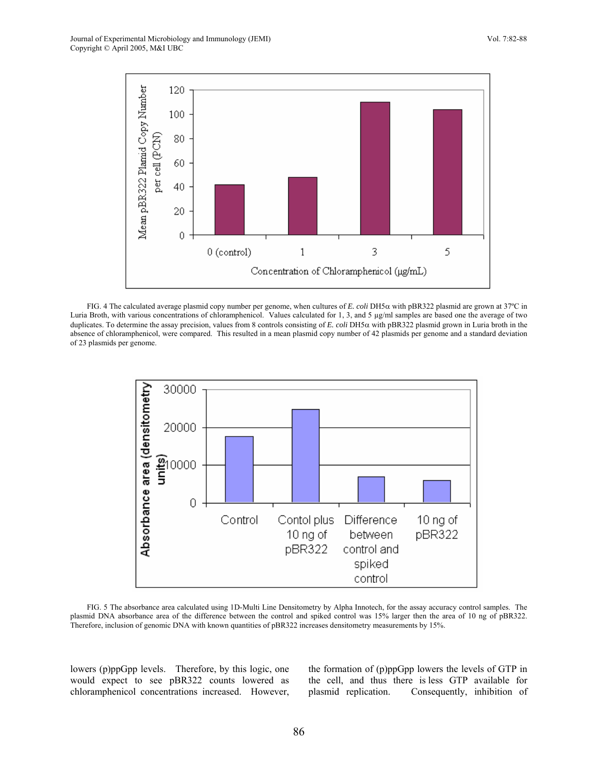

FIG. 4 The calculated average plasmid copy number per genome, when cultures of *E. coli* DH5α with pBR322 plasmid are grown at 37ºC in Luria Broth, with various concentrations of chloramphenicol. Values calculated for 1, 3, and 5 µg/ml samples are based one the average of two duplicates. To determine the assay precision, values from 8 controls consisting of *E. coli* DH5α with pBR322 plasmid grown in Luria broth in the absence of chloramphenicol, were compared. This resulted in a mean plasmid copy number of 42 plasmids per genome and a standard deviation of 23 plasmids per genome.



FIG. 5 The absorbance area calculated using 1D-Multi Line Densitometry by Alpha Innotech, for the assay accuracy control samples. The plasmid DNA absorbance area of the difference between the control and spiked control was 15% larger then the area of 10 ng of pBR322. Therefore, inclusion of genomic DNA with known quantities of pBR322 increases densitometry measurements by 15%.

lowers (p)ppGpp levels. Therefore, by this logic, one would expect to see pBR322 counts lowered as chloramphenicol concentrations increased. However, the formation of (p)ppGpp lowers the levels of GTP in the cell, and thus there is less GTP available for plasmid replication. Consequently, inhibition of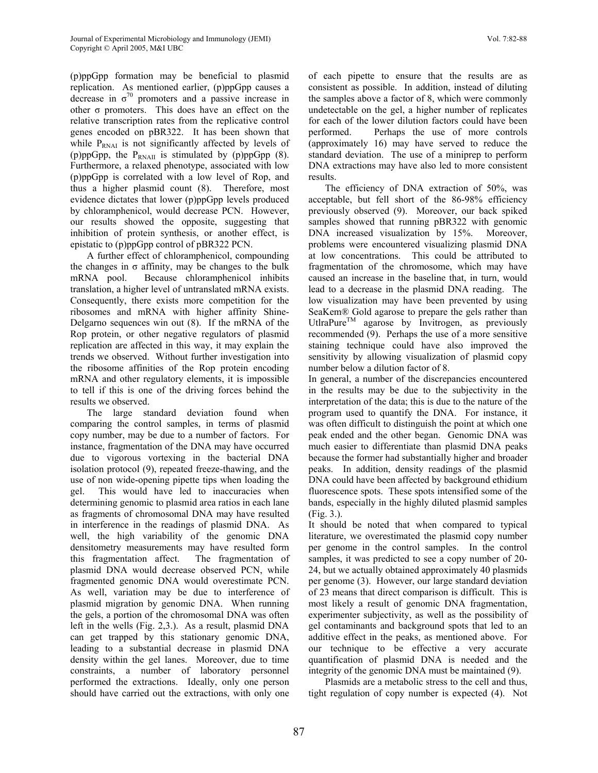(p)ppGpp formation may be beneficial to plasmid replication. As mentioned earlier, (p)ppGpp causes a decrease in  $\sigma^{70}$  promoters and a passive increase in other  $\sigma$  promoters. This does have an effect on the relative transcription rates from the replicative control genes encoded on pBR322. It has been shown that while  $P_{RNAI}$  is not significantly affected by levels of (p)ppGpp, the  $P_{RNAIL}$  is stimulated by (p)ppGpp (8). Furthermore, a relaxed phenotype, associated with low (p)ppGpp is correlated with a low level of Rop, and thus a higher plasmid count (8). Therefore, most evidence dictates that lower (p)ppGpp levels produced by chloramphenicol, would decrease PCN. However, our results showed the opposite, suggesting that inhibition of protein synthesis, or another effect, is epistatic to (p)ppGpp control of pBR322 PCN.

A further effect of chloramphenicol, compounding the changes in  $σ$  affinity, may be changes to the bulk mRNA pool. Because chloramphenicol inhibits translation, a higher level of untranslated mRNA exists. Consequently, there exists more competition for the ribosomes and mRNA with higher affinity Shine-Delgarno sequences win out (8). If the mRNA of the Rop protein, or other negative regulators of plasmid replication are affected in this way, it may explain the trends we observed. Without further investigation into the ribosome affinities of the Rop protein encoding mRNA and other regulatory elements, it is impossible to tell if this is one of the driving forces behind the results we observed.

The large standard deviation found when comparing the control samples, in terms of plasmid copy number, may be due to a number of factors. For instance, fragmentation of the DNA may have occurred due to vigorous vortexing in the bacterial DNA isolation protocol (9), repeated freeze-thawing, and the use of non wide-opening pipette tips when loading the gel. This would have led to inaccuracies when determining genomic to plasmid area ratios in each lane as fragments of chromosomal DNA may have resulted in interference in the readings of plasmid DNA. As well, the high variability of the genomic DNA densitometry measurements may have resulted form this fragmentation affect. The fragmentation of plasmid DNA would decrease observed PCN, while fragmented genomic DNA would overestimate PCN. As well, variation may be due to interference of plasmid migration by genomic DNA. When running the gels, a portion of the chromosomal DNA was often left in the wells (Fig. 2,3.). As a result, plasmid DNA can get trapped by this stationary genomic DNA, leading to a substantial decrease in plasmid DNA density within the gel lanes. Moreover, due to time constraints, a number of laboratory personnel performed the extractions. Ideally, only one person should have carried out the extractions, with only one of each pipette to ensure that the results are as consistent as possible. In addition, instead of diluting the samples above a factor of 8, which were commonly undetectable on the gel, a higher number of replicates for each of the lower dilution factors could have been performed. Perhaps the use of more controls (approximately 16) may have served to reduce the standard deviation. The use of a miniprep to perform DNA extractions may have also led to more consistent results.

The efficiency of DNA extraction of 50%, was acceptable, but fell short of the 86-98% efficiency previously observed (9). Moreover, our back spiked samples showed that running pBR322 with genomic DNA increased visualization by 15%. Moreover, problems were encountered visualizing plasmid DNA at low concentrations. This could be attributed to fragmentation of the chromosome, which may have caused an increase in the baseline that, in turn, would lead to a decrease in the plasmid DNA reading. The low visualization may have been prevented by using SeaKem® Gold agarose to prepare the gels rather than UtlraPure<sup>TM</sup> agarose by Invitrogen, as previously recommended (9). Perhaps the use of a more sensitive staining technique could have also improved the sensitivity by allowing visualization of plasmid copy number below a dilution factor of 8.

In general, a number of the discrepancies encountered in the results may be due to the subjectivity in the interpretation of the data; this is due to the nature of the program used to quantify the DNA. For instance, it was often difficult to distinguish the point at which one peak ended and the other began. Genomic DNA was much easier to differentiate than plasmid DNA peaks because the former had substantially higher and broader peaks. In addition, density readings of the plasmid DNA could have been affected by background ethidium fluorescence spots. These spots intensified some of the bands, especially in the highly diluted plasmid samples (Fig. 3.).

It should be noted that when compared to typical literature, we overestimated the plasmid copy number per genome in the control samples. In the control samples, it was predicted to see a copy number of 20- 24, but we actually obtained approximately 40 plasmids per genome (3). However, our large standard deviation of 23 means that direct comparison is difficult. This is most likely a result of genomic DNA fragmentation, experimenter subjectivity, as well as the possibility of gel contaminants and background spots that led to an additive effect in the peaks, as mentioned above. For our technique to be effective a very accurate quantification of plasmid DNA is needed and the integrity of the genomic DNA must be maintained (9).

Plasmids are a metabolic stress to the cell and thus, tight regulation of copy number is expected (4). Not